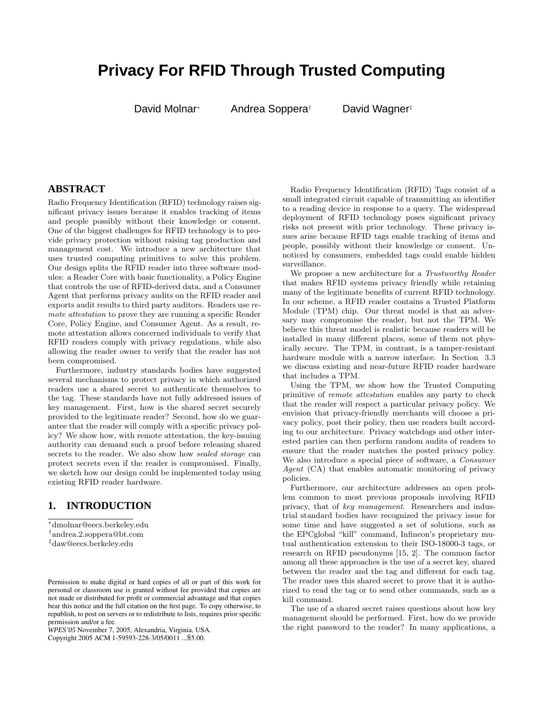# **Privacy For RFID Through Trusted Computing**

David Molnar<sup>∗</sup> Andrea Soppera<sup>†</sup>

David Wagner<sup>‡</sup>

# **ABSTRACT**

Radio Frequency Identification (RFID) technology raises significant privacy issues because it enables tracking of items and people possibly without their knowledge or consent. One of the biggest challenges for RFID technology is to provide privacy protection without raising tag production and management cost. We introduce a new architecture that uses trusted computing primitives to solve this problem. Our design splits the RFID reader into three software modules: a Reader Core with basic functionality, a Policy Engine that controls the use of RFID-derived data, and a Consumer Agent that performs privacy audits on the RFID reader and exports audit results to third party auditors. Readers use remote attestation to prove they are running a specific Reader Core, Policy Engine, and Consumer Agent. As a result, remote attestation allows concerned individuals to verify that RFID readers comply with privacy regulations, while also allowing the reader owner to verify that the reader has not been compromised.

Furthermore, industry standards bodies have suggested several mechanisms to protect privacy in which authorized readers use a shared secret to authenticate themselves to the tag. These standards have not fully addressed issues of key management. First, how is the shared secret securely provided to the legitimate reader? Second, how do we guarantee that the reader will comply with a specific privacy policy? We show how, with remote attestation, the key-issuing authority can demand such a proof before releasing shared secrets to the reader. We also show how sealed storage can protect secrets even if the reader is compromised. Finally, we sketch how our design could be implemented today using existing RFID reader hardware.

# **1. INTRODUCTION**

- <sup>∗</sup>dmolnar@eecs.berkeley.edu
- † andrea.2.soppera@bt.com
- ‡daw@eecs.berkeley.edu

Copyright 2005 ACM 1-59593-228-3/05/0011 ...\$5.00.

Radio Frequency Identification (RFID) Tags consist of a small integrated circuit capable of transmitting an identifier to a reading device in response to a query. The widespread deployment of RFID technology poses significant privacy risks not present with prior technology. These privacy issues arise because RFID tags enable tracking of items and people, possibly without their knowledge or consent. Unnoticed by consumers, embedded tags could enable hidden surveillance.

We propose a new architecture for a Trustworthy Reader that makes RFID systems privacy friendly while retaining many of the legitimate benefits of current RFID technology. In our scheme, a RFID reader contains a Trusted Platform Module (TPM) chip. Our threat model is that an adversary may compromise the reader, but not the TPM. We believe this threat model is realistic because readers will be installed in many different places, some of them not physically secure. The TPM, in contrast, is a tamper-resistant hardware module with a narrow interface. In Section 3.3 we discuss existing and near-future RFID reader hardware that includes a TPM.

Using the TPM, we show how the Trusted Computing primitive of remote attestation enables any party to check that the reader will respect a particular privacy policy. We envision that privacy-friendly merchants will choose a privacy policy, post their policy, then use readers built according to our architecture. Privacy watchdogs and other interested parties can then perform random audits of readers to ensure that the reader matches the posted privacy policy. We also introduce a special piece of software, a Consumer Agent (CA) that enables automatic monitoring of privacy policies.

Furthermore, our architecture addresses an open problem common to most previous proposals involving RFID privacy, that of key management. Researchers and industrial standard bodies have recognized the privacy issue for some time and have suggested a set of solutions, such as the EPCglobal "kill" command, Infineon's proprietary mutual authentication extension to their ISO-18000-3 tags, or research on RFID pseudonyms [15, 2]. The common factor among all these approaches is the use of a secret key, shared between the reader and the tag and different for each tag. The reader uses this shared secret to prove that it is authorized to read the tag or to send other commands, such as a kill command.

The use of a shared secret raises questions about how key management should be performed. First, how do we provide the right password to the reader? In many applications, a

Permission to make digital or hard copies of all or part of this work for personal or classroom use is granted without fee provided that copies are not made or distributed for profit or commercial advantage and that copies bear this notice and the full citation on the first page. To copy otherwise, to republish, to post on servers or to redistribute to lists, requires prior specific permission and/or a fee.

*WPES'05* November 7, 2005, Alexandria, Virginia, USA.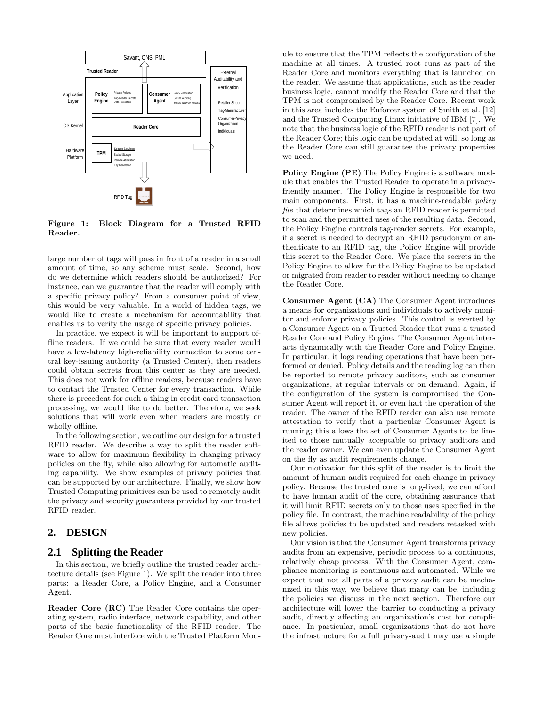

Figure 1: Block Diagram for a Trusted RFID Reader.

large number of tags will pass in front of a reader in a small amount of time, so any scheme must scale. Second, how do we determine which readers should be authorized? For instance, can we guarantee that the reader will comply with a specific privacy policy? From a consumer point of view, this would be very valuable. In a world of hidden tags, we would like to create a mechanism for accountability that enables us to verify the usage of specific privacy policies.

In practice, we expect it will be important to support offline readers. If we could be sure that every reader would have a low-latency high-reliability connection to some central key-issuing authority (a Trusted Center), then readers could obtain secrets from this center as they are needed. This does not work for offline readers, because readers have to contact the Trusted Center for every transaction. While there is precedent for such a thing in credit card transaction processing, we would like to do better. Therefore, we seek solutions that will work even when readers are mostly or wholly offline.

In the following section, we outline our design for a trusted RFID reader. We describe a way to split the reader software to allow for maximum flexibility in changing privacy policies on the fly, while also allowing for automatic auditing capability. We show examples of privacy policies that can be supported by our architecture. Finally, we show how Trusted Computing primitives can be used to remotely audit the privacy and security guarantees provided by our trusted RFID reader.

#### **2. DESIGN**

#### **2.1 Splitting the Reader**

In this section, we briefly outline the trusted reader architecture details (see Figure 1). We split the reader into three parts: a Reader Core, a Policy Engine, and a Consumer Agent.

Reader Core (RC) The Reader Core contains the operating system, radio interface, network capability, and other parts of the basic functionality of the RFID reader. The Reader Core must interface with the Trusted Platform Module to ensure that the TPM reflects the configuration of the machine at all times. A trusted root runs as part of the Reader Core and monitors everything that is launched on the reader. We assume that applications, such as the reader business logic, cannot modify the Reader Core and that the TPM is not compromised by the Reader Core. Recent work in this area includes the Enforcer system of Smith et al. [12] and the Trusted Computing Linux initiative of IBM [7]. We note that the business logic of the RFID reader is not part of the Reader Core; this logic can be updated at will, so long as the Reader Core can still guarantee the privacy properties we need.

Policy Engine (PE) The Policy Engine is a software module that enables the Trusted Reader to operate in a privacyfriendly manner. The Policy Engine is responsible for two main components. First, it has a machine-readable policy file that determines which tags an RFID reader is permitted to scan and the permitted uses of the resulting data. Second, the Policy Engine controls tag-reader secrets. For example, if a secret is needed to decrypt an RFID pseudonym or authenticate to an RFID tag, the Policy Engine will provide this secret to the Reader Core. We place the secrets in the Policy Engine to allow for the Policy Engine to be updated or migrated from reader to reader without needing to change the Reader Core.

Consumer Agent (CA) The Consumer Agent introduces a means for organizations and individuals to actively monitor and enforce privacy policies. This control is exerted by a Consumer Agent on a Trusted Reader that runs a trusted Reader Core and Policy Engine. The Consumer Agent interacts dynamically with the Reader Core and Policy Engine. In particular, it logs reading operations that have been performed or denied. Policy details and the reading log can then be reported to remote privacy auditors, such as consumer organizations, at regular intervals or on demand. Again, if the configuration of the system is compromised the Consumer Agent will report it, or even halt the operation of the reader. The owner of the RFID reader can also use remote attestation to verify that a particular Consumer Agent is running; this allows the set of Consumer Agents to be limited to those mutually acceptable to privacy auditors and the reader owner. We can even update the Consumer Agent on the fly as audit requirements change.

Our motivation for this split of the reader is to limit the amount of human audit required for each change in privacy policy. Because the trusted core is long-lived, we can afford to have human audit of the core, obtaining assurance that it will limit RFID secrets only to those uses specified in the policy file. In contrast, the machine readability of the policy file allows policies to be updated and readers retasked with new policies.

Our vision is that the Consumer Agent transforms privacy audits from an expensive, periodic process to a continuous, relatively cheap process. With the Consumer Agent, compliance monitoring is continuous and automated. While we expect that not all parts of a privacy audit can be mechanized in this way, we believe that many can be, including the policies we discuss in the next section. Therefore our architecture will lower the barrier to conducting a privacy audit, directly affecting an organization's cost for compliance. In particular, small organizations that do not have the infrastructure for a full privacy-audit may use a simple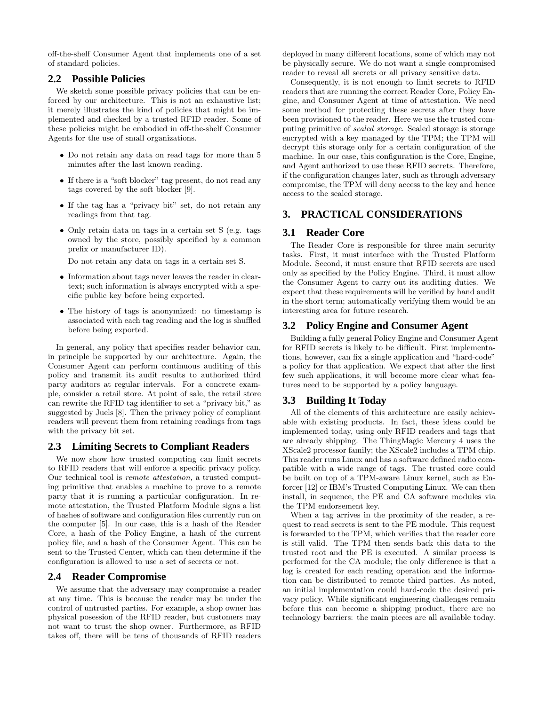off-the-shelf Consumer Agent that implements one of a set of standard policies.

### **2.2 Possible Policies**

We sketch some possible privacy policies that can be enforced by our architecture. This is not an exhaustive list; it merely illustrates the kind of policies that might be implemented and checked by a trusted RFID reader. Some of these policies might be embodied in off-the-shelf Consumer Agents for the use of small organizations.

- Do not retain any data on read tags for more than 5 minutes after the last known reading.
- If there is a "soft blocker" tag present, do not read any tags covered by the soft blocker [9].
- If the tag has a "privacy bit" set, do not retain any readings from that tag.
- Only retain data on tags in a certain set S (e.g. tags owned by the store, possibly specified by a common prefix or manufacturer ID).

Do not retain any data on tags in a certain set S.

- Information about tags never leaves the reader in cleartext; such information is always encrypted with a specific public key before being exported.
- The history of tags is anonymized: no timestamp is associated with each tag reading and the log is shuffled before being exported.

In general, any policy that specifies reader behavior can, in principle be supported by our architecture. Again, the Consumer Agent can perform continuous auditing of this policy and transmit its audit results to authorized third party auditors at regular intervals. For a concrete example, consider a retail store. At point of sale, the retail store can rewrite the RFID tag identifier to set a "privacy bit," as suggested by Juels [8]. Then the privacy policy of compliant readers will prevent them from retaining readings from tags with the privacy bit set.

### **2.3 Limiting Secrets to Compliant Readers**

We now show how trusted computing can limit secrets to RFID readers that will enforce a specific privacy policy. Our technical tool is remote attestation, a trusted computing primitive that enables a machine to prove to a remote party that it is running a particular configuration. In remote attestation, the Trusted Platform Module signs a list of hashes of software and configuration files currently run on the computer [5]. In our case, this is a hash of the Reader Core, a hash of the Policy Engine, a hash of the current policy file, and a hash of the Consumer Agent. This can be sent to the Trusted Center, which can then determine if the configuration is allowed to use a set of secrets or not.

#### **2.4 Reader Compromise**

We assume that the adversary may compromise a reader at any time. This is because the reader may be under the control of untrusted parties. For example, a shop owner has physical posession of the RFID reader, but customers may not want to trust the shop owner. Furthermore, as RFID takes off, there will be tens of thousands of RFID readers

deployed in many different locations, some of which may not be physically secure. We do not want a single compromised reader to reveal all secrets or all privacy sensitive data.

Consequently, it is not enough to limit secrets to RFID readers that are running the correct Reader Core, Policy Engine, and Consumer Agent at time of attestation. We need some method for protecting these secrets after they have been provisioned to the reader. Here we use the trusted computing primitive of sealed storage. Sealed storage is storage encrypted with a key managed by the TPM; the TPM will decrypt this storage only for a certain configuration of the machine. In our case, this configuration is the Core, Engine, and Agent authorized to use these RFID secrets. Therefore, if the configuration changes later, such as through adversary compromise, the TPM will deny access to the key and hence access to the sealed storage.

### **3. PRACTICAL CONSIDERATIONS**

#### **3.1 Reader Core**

The Reader Core is responsible for three main security tasks. First, it must interface with the Trusted Platform Module. Second, it must ensure that RFID secrets are used only as specified by the Policy Engine. Third, it must allow the Consumer Agent to carry out its auditing duties. We expect that these requirements will be verified by hand audit in the short term; automatically verifying them would be an interesting area for future research.

#### **3.2 Policy Engine and Consumer Agent**

Building a fully general Policy Engine and Consumer Agent for RFID secrets is likely to be difficult. First implementations, however, can fix a single application and "hard-code" a policy for that application. We expect that after the first few such applications, it will become more clear what features need to be supported by a policy language.

#### **3.3 Building It Today**

All of the elements of this architecture are easily achievable with existing products. In fact, these ideas could be implemented today, using only RFID readers and tags that are already shipping. The ThingMagic Mercury 4 uses the XScale2 processor family; the XScale2 includes a TPM chip. This reader runs Linux and has a software defined radio compatible with a wide range of tags. The trusted core could be built on top of a TPM-aware Linux kernel, such as Enforcer [12] or IBM's Trusted Computing Linux. We can then install, in sequence, the PE and CA software modules via the TPM endorsement key.

When a tag arrives in the proximity of the reader, a request to read secrets is sent to the PE module. This request is forwarded to the TPM, which verifies that the reader core is still valid. The TPM then sends back this data to the trusted root and the PE is executed. A similar process is performed for the CA module; the only difference is that a log is created for each reading operation and the information can be distributed to remote third parties. As noted, an initial implementation could hard-code the desired privacy policy. While significant engineering challenges remain before this can become a shipping product, there are no technology barriers: the main pieces are all available today.